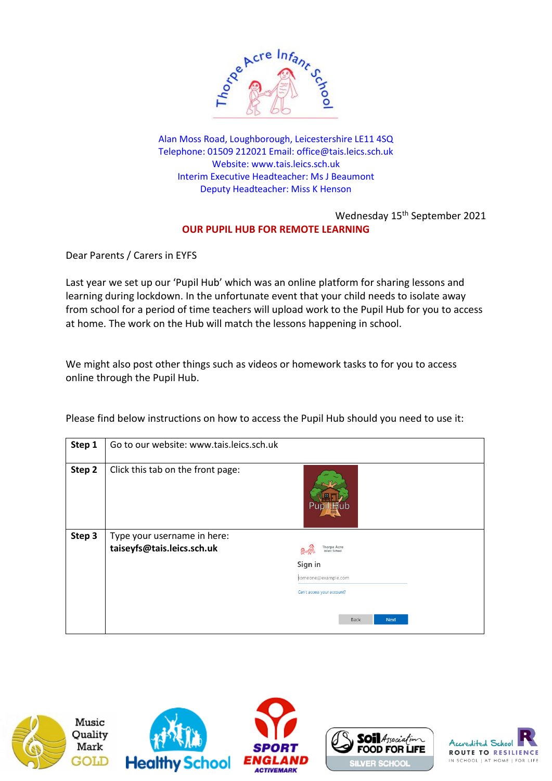

Alan Moss Road, Loughborough, Leicestershire LE11 4SQ Telephone: 01509 212021 Email: [office@tais.leics.sch.uk](mailto:office@tais.leics.sch.uk) Website: www.tais.leics.sch.uk Interim Executive Headteacher: Ms J Beaumont Deputy Headteacher: Miss K Henson

## Wednesday 15<sup>th</sup> September 2021 **OUR PUPIL HUB FOR REMOTE LEARNING**

Dear Parents / Carers in EYFS

Last year we set up our 'Pupil Hub' which was an online platform for sharing lessons and learning during lockdown. In the unfortunate event that your child needs to isolate away from school for a period of time teachers will upload work to the Pupil Hub for you to access at home. The work on the Hub will match the lessons happening in school.

We might also post other things such as videos or homework tasks to for you to access online through the Pupil Hub.

| Step 1 | Go to our website: www.tais.leics.sch.uk |                                     |
|--------|------------------------------------------|-------------------------------------|
| Step 2 | Click this tab on the front page:        | Pupil <b>H</b> ub                   |
| Step 3 | Type your username in here:              |                                     |
|        | taiseyfs@tais.leics.sch.uk               | <b>Thorpe Acre</b><br>Infant School |
|        |                                          | Sign in                             |
|        |                                          | someone@example.com                 |
|        |                                          | Can't access your account?          |
|        |                                          |                                     |
|        |                                          | Back<br><b>Next</b>                 |

Please find below instructions on how to access the Pupil Hub should you need to use it:



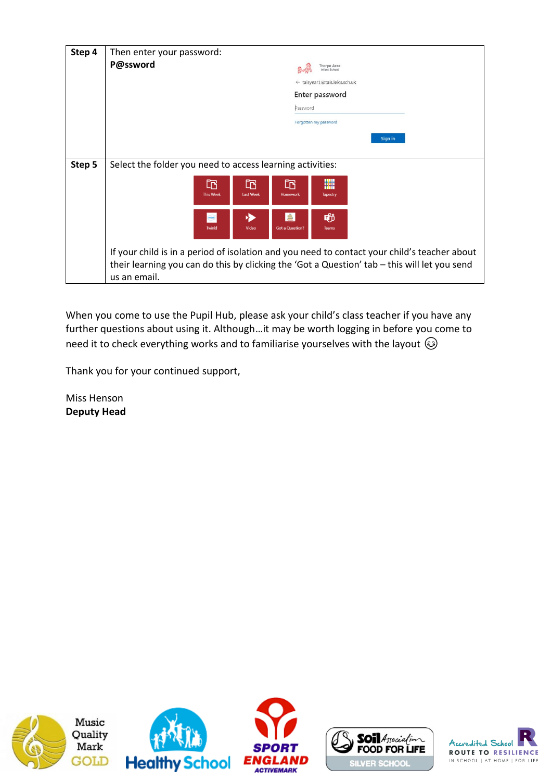| Step 4 | Then enter your password:                                                                                                                                                                                    |  |
|--------|--------------------------------------------------------------------------------------------------------------------------------------------------------------------------------------------------------------|--|
|        | P@ssword<br><b>Thorpe Acre</b><br><b>Infant School</b>                                                                                                                                                       |  |
|        | ← taisyear1@tais.leics.sch.uk                                                                                                                                                                                |  |
|        | Enter password                                                                                                                                                                                               |  |
|        | Password                                                                                                                                                                                                     |  |
|        | Forgotten my password                                                                                                                                                                                        |  |
|        | Sign in                                                                                                                                                                                                      |  |
|        |                                                                                                                                                                                                              |  |
| Step 5 | Select the folder you need to access learning activities:                                                                                                                                                    |  |
|        | 臞<br>m<br>吶<br>Er<br><b>This Week</b><br><b>Last Week</b><br>Homework<br>Tapestry                                                                                                                            |  |
|        | ė<br>動<br>twinki<br><b>Twinkl</b><br>Video<br><b>Got a Question?</b><br><b>Teams</b>                                                                                                                         |  |
|        | If your child is in a period of isolation and you need to contact your child's teacher about<br>their learning you can do this by clicking the 'Got a Question' tab - this will let you send<br>us an email. |  |

When you come to use the Pupil Hub, please ask your child's class teacher if you have any further questions about using it. Although…it may be worth logging in before you come to need it to check everything works and to familiarise yourselves with the layout  $\odot$ 

Thank you for your continued support,

Miss Henson **Deputy Head**